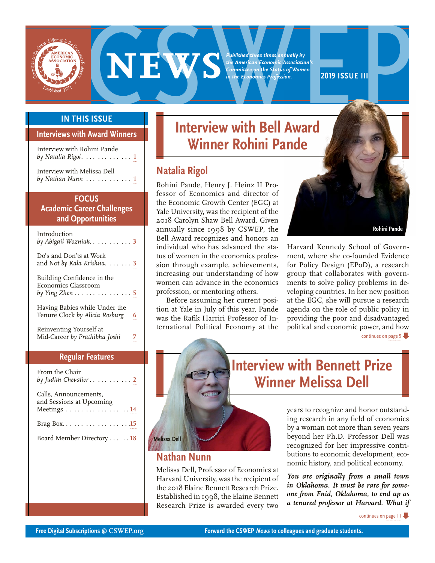<span id="page-0-0"></span>

**EXERCISE SERVICE SUBLISHED AND PROPERTY OF SERVICE OF THE SERVICE OF THE SERVICE OF THE SERVICE OF THE SERVICE OF THE SASOCIATION**<br> **2019 ISSUE III ISSUE III INTERVIEW WITH RELAXANGLE PROPERTY OF THE SASOCIATION** 

*Published three times annually by the American Economic Association's Committee on the Status of Women in the Economics Profession.*

#### **IN THIS ISSUE**

#### **Interviews with Award Winners**

| Interview with Rohini Pande<br>by Natalia Rigol. $\ldots \ldots \ldots \ldots 1$ |  |
|----------------------------------------------------------------------------------|--|
| Interview with Melissa Dell<br>$by$ Nathan Nunn $\ldots \ldots \ldots \ldots 1$  |  |

#### **FOCUS**

**Academic Career Challenges and Opportunities**

| Introduction<br>by Abigail Wozniak3                                                                      |   |
|----------------------------------------------------------------------------------------------------------|---|
| Do's and Don'ts at Work<br>and Not by Kala Krishna. $\ldots$ 3                                           |   |
| Building Confidence in the<br>Economics Classroom<br>by Ying Zhen $\ldots \ldots \ldots \ldots \ldots 5$ |   |
| Having Babies while Under the<br>Tenure Clock by Alicia Rosburg                                          | R |
| Reinventing Yourself at<br>Mid-Career by Prathibha Joshi                                                 |   |

#### **Regular Features**

| From the Chair<br>by Judith Chevalier 2                          |
|------------------------------------------------------------------|
| Calls, Announcements,<br>and Sessions at Upcoming<br>Meetings 14 |
|                                                                  |
| Board Member Directory 18                                        |

### **Interview with Bell Award Winner Rohini Pande**

### **Natalia Rigol**

Rohini Pande, Henry J. Heinz II Professor of Economics and director of the Economic Growth Center (EGC) at Yale University, was the recipient of the 2018 Carolyn Shaw Bell Award. Given annually since 1998 by CSWEP, the Bell Award recognizes and honors an individual who has advanced the status of women in the economics profession through example, achievements, increasing our understanding of how women can advance in the economics profession, or mentoring others.

Before assuming her current position at Yale in July of this year, Pande was the Rafik Harriri Professor of International Political Economy at the

Research Prize is awarded every two



[continues on page 9](#page-8-0) Harvard Kennedy School of Government, where she co-founded Evidence for Policy Design (EPoD), a research group that collaborates with governments to solve policy problems in developing countries. In her new position at the EGC, she will pursue a research agenda on the role of public policy in providing the poor and disadvantaged political and economic power, and how

# **Interview with Bennett Prize Winner Melissa Dell**

years to recognize and honor outstanding research in any field of economics by a woman not more than seven years beyond her Ph.D. Professor Dell was recognized for her impressive contributions to economic development, economic history, and political economy.

*You are originally from a small town in Oklahoma. It must be rare for someone from Enid, Oklahoma, to end up as a tenured professor at Harvard. What if* 

[continues on page 11](#page-10-0)



**Nathan Nunn**

**Melissa Dell**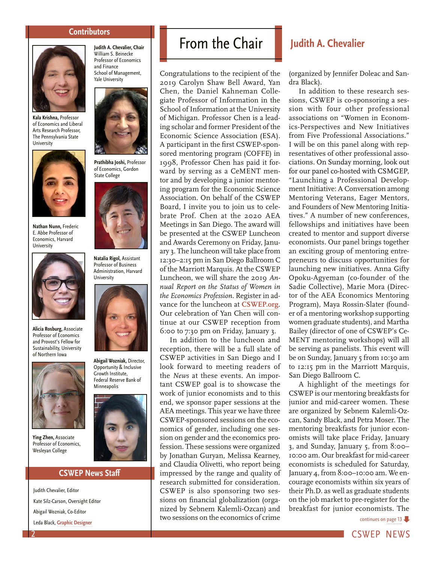#### **Contributors**

<span id="page-1-0"></span>

**Kala Krishna,** Professor of Economics and Liberal Arts Research Professor, The Pennsylvania State **University** 



**Nathan Nunn,** Frederic E. Abbe Professor of Economics, Harvard University



**Alicia Rosburg,** Associate Professor of Economics and Provost's Fellow for Sustainability, University of Northern Iowa



**Ying Zhen,** Associate Professor of Economics, Wesleyan College

#### **CSWEP News Staff**

Judith Chevalier, Editor Kate Silz-Carson, Oversight Editor Abigail Wozniak, Co-Editor Leda Black, **[Graphic Designer](http://www.ledablack.com/)**

**Judith A. Chevalier, Chair**  William S. Beinecke Professor of Economics and Finance School of Management, Yale University



**Prathibha Joshi,** Professor of Economics, Gordon State College



**Natalia Rigol,** Assistant Professor of Business Administration, Harvard University



**Abigail Wozniak,** Director, Opportunity & Inclusive Growth Institute, Federal Reserve Bank of Minneapolis



## From the Chair **Judith A. Chevalier**

Congratulations to the recipient of the 2019 Carolyn Shaw Bell Award, Yan Chen, the Daniel Kahneman Collegiate Professor of Information in the School of Information at the University of Michigan. Professor Chen is a leading scholar and former President of the Economic Science Association (ESA). A participant in the first CSWEP-sponsored mentoring program (COFFE) in 1998, Professor Chen has paid it forward by serving as a CeMENT mentor and by developing a junior mentoring program for the Economic Science Association. On behalf of the CSWEP Board, I invite you to join us to celebrate Prof. Chen at the 2020 AEA Meetings in San Diego. The award will be presented at the CSWEP Luncheon and Awards Ceremony on Friday, January 3. The luncheon will take place from 12:30–2:15 pm in San Diego Ballroom C of the Marriott Marquis. At the CSWEP Luncheon, we will share the 2019 *Annual Report on the Status of Women in the Economics Profession*. Register in advance for the luncheon at **[CSWEP.org](http://CSWEP.org)**. Our celebration of Yan Chen will continue at our CSWEP reception from 6:00 to 7:30 pm on Friday, January 3.

In addition to the luncheon and reception, there will be a full slate of CSWEP activities in San Diego and I look forward to meeting readers of the *News* at these events. An important CSWEP goal is to showcase the work of junior economists and to this end, we sponsor paper sessions at the AEA meetings. This year we have three CSWEP-sponsored sessions on the economics of gender, including one session on gender and the economics profession. These sessions were organized by Jonathan Guryan, Melissa Kearney, and Claudia Olivetti, who report being impressed by the range and quality of research submitted for consideration. CSWEP is also sponsoring two sessions on financial globalization (organized by Sebnem Kalemli-Ozcan) and two sessions on the economics of crime

(organized by Jennifer Doleac and Sandra Black).

In addition to these research sessions, CSWEP is co-sponsoring a session with four other professional associations on "Women in Economics-Perspectives and New Initiatives from Five Professional Associations." I will be on this panel along with representatives of other professional associations. On Sunday morning, look out for our panel co-hosted with CSMGEP, "[Launching a Professional Develop](https://www.aeaweb.org/conference/2020/preliminary/1808?q=eNqrVipOLS7OzM8LqSxIVbKqhnGVrJQMlXSUUstS80qAbCOlWh2lxOLi_GQgxwwkU5JalAtkA1kpiZUQRklmbiqEVZaZWg4yrKigXDAoYGqgVFsLXDDC_x8B)[ment Initiative: A Conversation among](https://www.aeaweb.org/conference/2020/preliminary/1808?q=eNqrVipOLS7OzM8LqSxIVbKqhnGVrJQMlXSUUstS80qAbCOlWh2lxOLi_GQgxwwkU5JalAtkA1kpiZUQRklmbiqEVZaZWg4yrKigXDAoYGqgVFsLXDDC_x8B) [Mentoring Veterans, Eager Mentors,](https://www.aeaweb.org/conference/2020/preliminary/1808?q=eNqrVipOLS7OzM8LqSxIVbKqhnGVrJQMlXSUUstS80qAbCOlWh2lxOLi_GQgxwwkU5JalAtkA1kpiZUQRklmbiqEVZaZWg4yrKigXDAoYGqgVFsLXDDC_x8B) [and Founders of New Mentoring Initia](https://www.aeaweb.org/conference/2020/preliminary/1808?q=eNqrVipOLS7OzM8LqSxIVbKqhnGVrJQMlXSUUstS80qAbCOlWh2lxOLi_GQgxwwkU5JalAtkA1kpiZUQRklmbiqEVZaZWg4yrKigXDAoYGqgVFsLXDDC_x8B)[tives.](https://www.aeaweb.org/conference/2020/preliminary/1808?q=eNqrVipOLS7OzM8LqSxIVbKqhnGVrJQMlXSUUstS80qAbCOlWh2lxOLi_GQgxwwkU5JalAtkA1kpiZUQRklmbiqEVZaZWg4yrKigXDAoYGqgVFsLXDDC_x8B)" A number of new conferences, fellowships and initiatives have been created to mentor and support diverse economists. Our panel brings together an exciting group of mentoring entrepreneurs to discuss opportunities for launching new initiatives. Anna Gifty Opoku-Agyeman (co-founder of the Sadie Collective), Marie Mora (Director of the AEA Economics Mentoring Program), Maya Rossin-Slater (founder of a mentoring workshop supporting women graduate students), and Martha Bailey (director of one of CSWEP's Ce-MENT mentoring workshops) will all be serving as panelists. This event will be on Sunday, January 5 from 10:30 am to 12:15 pm in the Marriott Marquis, San Diego Ballroom C.

A highlight of the meetings for CSWEP is our mentoring breakfasts for junior and mid-career women. These are organized by Sebnem Kalemli-Ozcan, Sandy Black, and Petra Moser. The mentoring breakfasts for junior economists will take place Friday, January 3, and Sunday, January 5, from 8:00– 10:00 am. Our breakfast for mid-career economists is scheduled for Saturday, January 4, from 8:00–10:00 am. We encourage economists within six years of their Ph.D. as well as graduate students on the job market to pre-register for the breakfast for junior economists. The

[continues on page 13](#page-12-0)

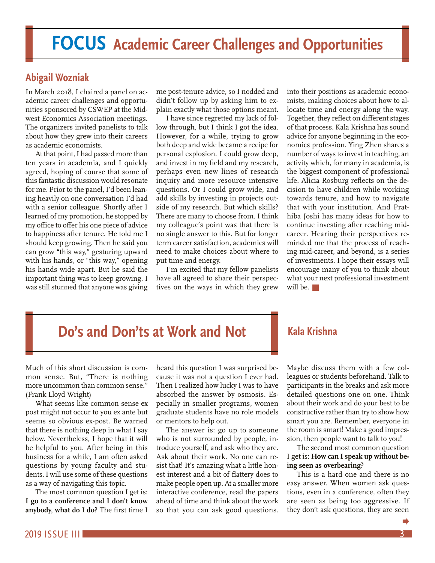## <span id="page-2-0"></span>**FOCUS Academic Career Challenges and Opportunities**

### **Abigail Wozniak**

In March 2018, I chaired a panel on academic career challenges and opportunities sponsored by CSWEP at the Midwest Economics Association meetings. The organizers invited panelists to talk about how they grew into their careers as academic economists.

At that point, I had passed more than ten years in academia, and I quickly agreed, hoping of course that some of this fantastic discussion would resonate for me. Prior to the panel, I'd been leaning heavily on one conversation I'd had with a senior colleague. Shortly after I learned of my promotion, he stopped by my office to offer his one piece of advice to happiness after tenure. He told me I should keep growing. Then he said you can grow "this way," gesturing upward with his hands, or "this way," opening his hands wide apart. But he said the important thing was to keep growing. I was still stunned that anyone was giving

me post-tenure advice, so I nodded and didn't follow up by asking him to explain exactly what those options meant.

I have since regretted my lack of follow through, but I think I got the idea. However, for a while, trying to grow both deep and wide became a recipe for personal explosion. I could grow deep, and invest in my field and my research, perhaps even new lines of research inquiry and more resource intensive questions. Or I could grow wide, and add skills by investing in projects outside of my research. But which skills? There are many to choose from. I think my colleague's point was that there is no single answer to this. But for longer term career satisfaction, academics will need to make choices about where to put time and energy.

I'm excited that my fellow panelists have all agreed to share their perspectives on the ways in which they grew into their positions as academic economists, making choices about how to allocate time and energy along the way. Together, they reflect on different stages of that process. Kala Krishna has sound advice for anyone beginning in the economics profession. Ying Zhen shares a number of ways to invest in teaching, an activity which, for many in academia, is the biggest component of professional life. Alicia Rosburg reflects on the decision to have children while working towards tenure, and how to navigate that with your institution. And Prathiba Joshi has many ideas for how to continue investing after reaching midcareer. Hearing their perspectives reminded me that the process of reaching mid-career, and beyond, is a series of investments. I hope their essays will encourage many of you to think about what your next professional investment will be.  $\blacksquare$ 

## **Do's and Don'ts at Work and Not**

Much of this short discussion is common sense. But, "There is nothing more uncommon than common sense." (Frank Lloyd Wright)

What seems like common sense ex post might not occur to you ex ante but seems so obvious ex-post. Be warned that there is nothing deep in what I say below. Nevertheless, I hope that it will be helpful to you. After being in this business for a while, I am often asked questions by young faculty and students. I will use some of these questions as a way of navigating this topic.

The most common question I get is: **I go to a conference and I don't know anybody, what do I do?** The first time I

heard this question I was surprised because it was not a question I ever had. Then I realized how lucky I was to have absorbed the answer by osmosis. Especially in smaller programs, women graduate students have no role models or mentors to help out.

The answer is: go up to someone who is not surrounded by people, introduce yourself, and ask who they are. Ask about their work. No one can resist that! It's amazing what a little honest interest and a bit of flattery does to make people open up. At a smaller more interactive conference, read the papers ahead of time and think about the work so that you can ask good questions.

#### **Kala Krishna**

Maybe discuss them with a few colleagues or students beforehand. Talk to participants in the breaks and ask more detailed questions one on one. Think about their work and do your best to be constructive rather than try to show how smart you are. Remember, everyone in the room is smart! Make a good impression, then people want to talk to you!

The second most common question I get is: **How can I speak up without being seen as overbearing?**

This is a hard one and there is no easy answer. When women ask questions, even in a conference, often they are seen as being too aggressive. If they don't ask questions, they are seen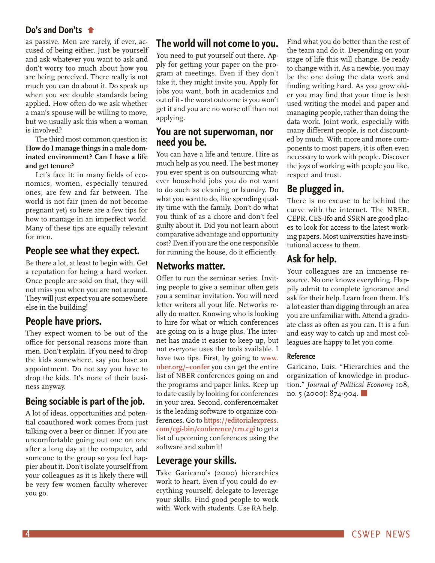#### **Do's and Don'ts**

[as passive. Men are rarely, if ever, ac](#page-2-0)cused of being either. Just be yourself and ask whatever you want to ask and don't worry too much about how you are being perceived. There really is not much you can do about it. Do speak up when you see double standards being applied. How often do we ask whether a man's spouse will be willing to move, but we usually ask this when a woman is involved?

The third most common question is: **How do I manage things in a male dominated environment? Can I have a life and get tenure?** 

Let's face it: in many fields of economics, women, especially tenured ones, are few and far between. The world is not fair (men do not become pregnant yet) so here are a few tips for how to manage in an imperfect world. Many of these tips are equally relevant for men.

#### **People see what they expect.**

Be there a lot, at least to begin with. Get a reputation for being a hard worker. Once people are sold on that, they will not miss you when you are not around. They will just expect you are somewhere else in the building!

#### **People have priors.**

They expect women to be out of the office for personal reasons more than men. Don't explain. If you need to drop the kids somewhere, say you have an appointment. Do not say you have to drop the kids. It's none of their business anyway.

#### **Being sociable is part of the job.**

A lot of ideas, opportunities and potential coauthored work comes from just talking over a beer or dinner. If you are uncomfortable going out one on one after a long day at the computer, add someone to the group so you feel happier about it. Don't isolate yourself from your colleagues as it is likely there will be very few women faculty wherever you go.

#### **The world will not come to you.**

You need to put yourself out there. Apply for getting your paper on the program at meetings. Even if they don't take it, they might invite you. Apply for jobs you want, both in academics and out of it - the worst outcome is you won't get it and you are no worse off than not applying.

#### **You are not superwoman, nor need you be.**

You can have a life and tenure. Hire as much help as you need. The best money you ever spent is on outsourcing whatever household jobs you do not want to do such as cleaning or laundry. Do what you want to do, like spending quality time with the family. Don't do what you think of as a chore and don't feel guilty about it. Did you not learn about comparative advantage and opportunity cost? Even if you are the one responsible for running the house, do it efficiently.

#### **Networks matter.**

Offer to run the seminar series. Inviting people to give a seminar often gets you a seminar invitation. You will need letter writers all your life. Networks really do matter. Knowing who is looking to hire for what or which conferences are going on is a huge plus. The internet has made it easier to keep up, but not everyone uses the tools available. I have two tips. First, by going to **[www.](http://www.nber.org/~confer) [nber.org/~confer](http://www.nber.org/~confer)** you can get the entire list of NBER conferences going on and the programs and paper links. Keep up to date easily by looking for conferences in your area. Second, conferencemaker is the leading software to organize conferences. Go to **[https://editorialexpress.](https://editorialexpress.com/cgi-bin/conference/cm.cgi) [com/cgi-bin/conference/cm.cgi](https://editorialexpress.com/cgi-bin/conference/cm.cgi)** to get a list of upcoming conferences using the software and submit!

#### **Leverage your skills.**

Take Garicano's (2000) hierarchies work to heart. Even if you could do everything yourself, delegate to leverage your skills. Find good people to work with. Work with students. Use RA help. Find what you do better than the rest of the team and do it. Depending on your stage of life this will change. Be ready to change with it. As a newbie, you may be the one doing the data work and finding writing hard. As you grow older you may find that your time is best used writing the model and paper and managing people, rather than doing the data work. Joint work, especially with many different people, is not discounted by much. With more and more components to most papers, it is often even necessary to work with people. Discover the joys of working with people you like, respect and trust.

### **Be plugged in.**

There is no excuse to be behind the curve with the internet. The NBER, CEPR, CES-Ifo and SSRN are good places to look for access to the latest working papers. Most universities have institutional access to them.

### **Ask for help.**

Your colleagues are an immense resource. No one knows everything. Happily admit to complete ignorance and ask for their help. Learn from them. It's a lot easier than digging through an area you are unfamiliar with. Attend a graduate class as often as you can. It is a fun and easy way to catch up and most colleagues are happy to let you come.

#### **Reference**

Garicano, Luis. "Hierarchies and the organization of knowledge in production." *Journal of Political Economy* 108, no.  $5$  (2000):  $874 - 904$ .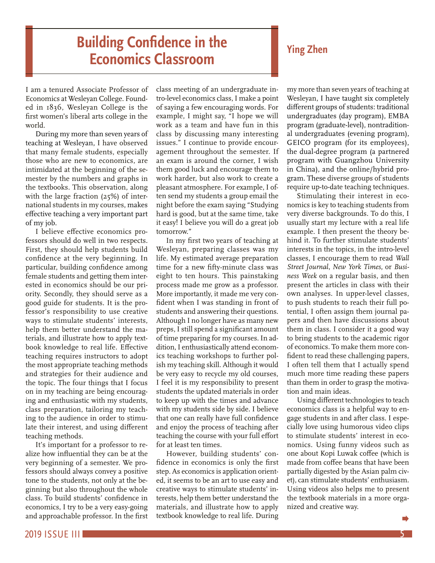### <span id="page-4-0"></span>**Building Confidence in the Economics Classroom**

I am a tenured Associate Professor of Economics at Wesleyan College. Founded in 1836, Wesleyan College is the first women's liberal arts college in the world.

During my more than seven years of teaching at Wesleyan, I have observed that many female students, especially those who are new to economics, are intimidated at the beginning of the semester by the numbers and graphs in the textbooks. This observation, along with the large fraction (25%) of international students in my courses, makes effective teaching a very important part of my job.

I believe effective economics professors should do well in two respects. First, they should help students build confidence at the very beginning. In particular, building confidence among female students and getting them interested in economics should be our priority. Secondly, they should serve as a good guide for students. It is the professor's responsibility to use creative ways to stimulate students' interests, help them better understand the materials, and illustrate how to apply textbook knowledge to real life. Effective teaching requires instructors to adopt the most appropriate teaching methods and strategies for their audience and the topic. The four things that I focus on in my teaching are being encouraging and enthusiastic with my students, class preparation, tailoring my teaching to the audience in order to stimulate their interest, and using different teaching methods.

It's important for a professor to realize how influential they can be at the very beginning of a semester. We professors should always convey a positive tone to the students, not only at the beginning but also throughout the whole class. To build students' confidence in economics, I try to be a very easy-going and approachable professor. In the first

class meeting of an undergraduate intro-level economics class, I make a point of saying a few encouraging words. For example, I might say, "I hope we will work as a team and have fun in this class by discussing many interesting issues." I continue to provide encouragement throughout the semester. If an exam is around the corner, I wish them good luck and encourage them to work harder, but also work to create a pleasant atmosphere. For example, I often send my students a group email the night before the exam saying "Studying hard is good, but at the same time, take it easy! I believe you will do a great job tomorrow."

In my first two years of teaching at Wesleyan, preparing classes was my life. My estimated average preparation time for a new fifty-minute class was eight to ten hours. This painstaking process made me grow as a professor. More importantly, it made me very confident when I was standing in front of students and answering their questions. Although I no longer have as many new preps, I still spend a significant amount of time preparing for my courses. In addition, I enthusiastically attend economics teaching workshops to further polish my teaching skill. Although it would be very easy to recycle my old courses, I feel it is my responsibility to present students the updated materials in order to keep up with the times and advance with my students side by side. I believe that one can really have full confidence and enjoy the process of teaching after teaching the course with your full effort for at least ten times.

However, building students' confidence in economics is only the first step. As economics is application oriented, it seems to be an art to use easy and creative ways to stimulate students' interests, help them better understand the materials, and illustrate how to apply textbook knowledge to real life. During my more than seven years of teaching at Wesleyan, I have taught six completely different groups of students: traditional undergraduates (day program), EMBA program (graduate-level), nontraditional undergraduates (evening program), GEICO program (for its employees), the dual-degree program (a partnered program with Guangzhou University in China), and the online/hybrid program. These diverse groups of students require up-to-date teaching techniques.

Stimulating their interest in economics is key to teaching students from very diverse backgrounds. To do this, I usually start my lecture with a real life example. I then present the theory behind it. To further stimulate students' interests in the topics, in the intro-level classes, I encourage them to read *Wall Street Journal*, *New York Times*, or *Business Week* on a regular basis, and then present the articles in class with their own analyses. In upper-level classes, to push students to reach their full potential, I often assign them journal papers and then have discussions about them in class. I consider it a good way to bring students to the academic rigor of economics. To make them more confident to read these challenging papers, I often tell them that I actually spend much more time reading these papers than them in order to grasp the motivation and main ideas.

Using different technologies to teach economics class is a helpful way to engage students in and after class. I especially love using humorous video clips to stimulate students' interest in economics. Using funny videos such as one about Kopi Luwak coffee (which is made from coffee beans that have been partially digested by the Asian palm civet), can stimulate students' enthusiasm. Using videos also helps me to present the textbook materials in a more organized and creative way.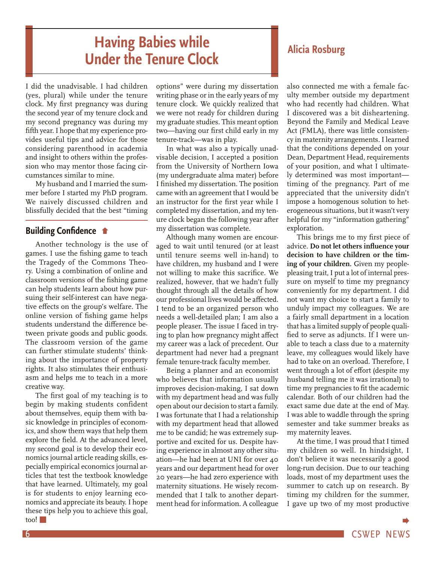## **Having Babies while Under the Tenure Clock Alicia Rosburg**

<span id="page-5-0"></span>I did the unadvisable. I had children (yes, plural) while under the tenure clock. My first pregnancy was during the second year of my tenure clock and my second pregnancy was during my fifth year. I hope that my experience provides useful tips and advice for those considering parenthood in academia and insight to others within the profession who may mentor those facing circumstances similar to mine.

My husband and I married the summer before I started my PhD program. We naively discussed children and blissfully decided that the best "timing

#### **Building Confidence**

[Another technology is the use of](#page-4-0)  games. I use the fishing game to teach the Tragedy of the Commons Theory. Using a combination of online and classroom versions of the fishing game can help students learn about how pursuing their self-interest can have negative effects on the group's welfare. The online version of fishing game helps students understand the difference between private goods and public goods. The classroom version of the game can further stimulate students' thinking about the importance of property rights. It also stimulates their enthusiasm and helps me to teach in a more creative way.

The first goal of my teaching is to begin by making students confident about themselves, equip them with basic knowledge in principles of economics, and show them ways that help them explore the field. At the advanced level, my second goal is to develop their economics journal article reading skills, especially empirical economics journal articles that test the textbook knowledge that have learned. Ultimately, my goal is for students to enjoy learning economics and appreciate its beauty. I hope these tips help you to achieve this goal, too!

options" were during my dissertation writing phase or in the early years of my tenure clock. We quickly realized that we were not ready for children during my graduate studies. This meant option two—having our first child early in my tenure-track—was in play.

In what was also a typically unadvisable decision, I accepted a position from the University of Northern Iowa (my undergraduate alma mater) before I finished my dissertation. The position came with an agreement that I would be an instructor for the first year while I completed my dissertation, and my tenure clock began the following year after my dissertation was complete.

Although many women are encouraged to wait until tenured (or at least until tenure seems well in-hand) to have children, my husband and I were not willing to make this sacrifice. We realized, however, that we hadn't fully thought through all the details of how our professional lives would be affected. I tend to be an organized person who needs a well-detailed plan; I am also a people pleaser. The issue I faced in trying to plan how pregnancy might affect my career was a lack of precedent. Our department had never had a pregnant female tenure-track faculty member.

Being a planner and an economist who believes that information usually improves decision-making, I sat down with my department head and was fully open about our decision to start a family. I was fortunate that I had a relationship with my department head that allowed me to be candid; he was extremely supportive and excited for us. Despite having experience in almost any other situation—he had been at UNI for over 40 years and our department head for over 20 years—he had zero experience with maternity situations. He wisely recommended that I talk to another department head for information. A colleague

also connected me with a female faculty member outside my department who had recently had children. What I discovered was a bit disheartening. Beyond the Family and Medical Leave Act (FMLA), there was little consistency in maternity arrangements. I learned that the conditions depended on your Dean, Department Head, requirements of your position, and what I ultimately determined was most important timing of the pregnancy. Part of me appreciated that the university didn't impose a homogenous solution to heterogeneous situations, but it wasn't very helpful for my "information gathering" exploration.

This brings me to my first piece of advice. **Do not let others influence your decision to have children or the timing of your children.** Given my peoplepleasing trait, I put a lot of internal pressure on myself to time my pregnancy conveniently for my department. I did not want my choice to start a family to unduly impact my colleagues. We are a fairly small department in a location that has a limited supply of people qualified to serve as adjuncts. If I were unable to teach a class due to a maternity leave, my colleagues would likely have had to take on an overload. Therefore, I went through a lot of effort (despite my husband telling me it was irrational) to time my pregnancies to fit the academic calendar. Both of our children had the exact same due date at the end of May. I was able to waddle through the spring semester and take summer breaks as my maternity leaves.

At the time, I was proud that I timed my children so well. In hindsight, I don't believe it was necessarily a good long-run decision. Due to our teaching loads, most of my department uses the summer to catch up on research. By timing my children for the summer, I gave up two of my most productive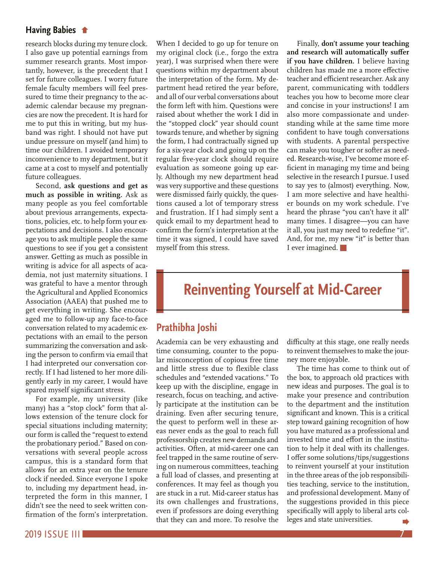#### <span id="page-6-0"></span>**Having Babies**

[research blocks during my tenure clock.](#page-5-0) I also gave up potential earnings from summer research grants. Most importantly, however, is the precedent that I set for future colleagues. I worry future female faculty members will feel pressured to time their pregnancy to the academic calendar because my pregnancies are now the precedent. It is hard for me to put this in writing, but my husband was right. I should not have put undue pressure on myself (and him) to time our children. I avoided temporary inconvenience to my department, but it came at a cost to myself and potentially future colleagues.

Second, **ask questions and get as much as possible in writing.** Ask as many people as you feel comfortable about previous arrangements, expectations, policies, etc. to help form your expectations and decisions. I also encourage you to ask multiple people the same questions to see if you get a consistent answer. Getting as much as possible in writing is advice for all aspects of academia, not just maternity situations. I was grateful to have a mentor through the Agricultural and Applied Economics Association (AAEA) that pushed me to get everything in writing. She encouraged me to follow-up any face-to-face conversation related to my academic expectations with an email to the person summarizing the conversation and asking the person to confirm via email that I had interpreted our conversation correctly. If I had listened to her more diligently early in my career, I would have spared myself significant stress.

For example, my university (like many) has a "stop clock" form that allows extension of the tenure clock for special situations including maternity; our form is called the "request to extend the probationary period." Based on conversations with several people across campus, this is a standard form that allows for an extra year on the tenure clock if needed. Since everyone I spoke to, including my department head, interpreted the form in this manner, I didn't see the need to seek written confirmation of the form's interpretation.

When I decided to go up for tenure on my original clock (i.e., forgo the extra year), I was surprised when there were questions within my department about the interpretation of the form. My department head retired the year before, and all of our verbal conversations about the form left with him. Questions were raised about whether the work I did in the "stopped clock" year should count towards tenure, and whether by signing the form, I had contractually signed up for a six-year clock and going up on the regular five-year clock should require evaluation as someone going up early. Although my new department head was very supportive and these questions were dismissed fairly quickly, the questions caused a lot of temporary stress and frustration. If I had simply sent a quick email to my department head to confirm the form's interpretation at the time it was signed, I could have saved myself from this stress.

Finally, **don't assume your teaching and research will automatically suffer if you have children.** I believe having children has made me a more effective teacher and efficient researcher. Ask any parent, communicating with toddlers teaches you how to become more clear and concise in your instructions! I am also more compassionate and understanding while at the same time more confident to have tough conversations with students. A parental perspective can make you tougher or softer as needed. Research-wise, I've become more efficient in managing my time and being selective in the research I pursue. I used to say yes to (almost) everything. Now, I am more selective and have healthier bounds on my work schedule. I've heard the phrase "you can't have it all" many times. I disagree—you can have it all, you just may need to redefine "it". And, for me, my new "it" is better than I ever imagined.

### **Reinventing Yourself at Mid-Career**

### **Prathibha Joshi**

Academia can be very exhausting and time consuming, counter to the popular misconception of copious free time and little stress due to flexible class schedules and "extended vacations." To keep up with the discipline, engage in research, focus on teaching, and actively participate at the institution can be draining. Even after securing tenure, the quest to perform well in these areas never ends as the goal to reach full professorship creates new demands and activities. Often, at mid-career one can feel trapped in the same routine of serving on numerous committees, teaching a full load of classes, and presenting at conferences. It may feel as though you are stuck in a rut. Mid-career status has its own challenges and frustrations, even if professors are doing everything that they can and more. To resolve the

difficulty at this stage, one really needs to reinvent themselves to make the journey more enjoyable.

The time has come to think out of the box, to approach old practices with new ideas and purposes. The goal is to make your presence and contribution to the department and the institution significant and known. This is a critical step toward gaining recognition of how you have matured as a professional and invested time and effort in the institution to help it deal with its challenges. I offer some solutions/tips/suggestions to reinvent yourself at your institution in the three areas of the job responsibilities teaching, service to the institution, and professional development. Many of the suggestions provided in this piece specifically will apply to liberal arts colleges and state universities.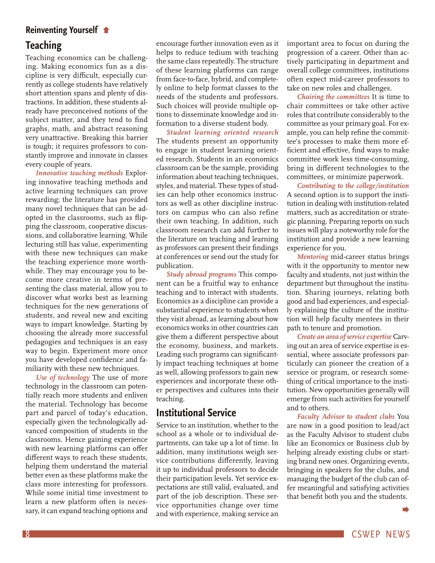#### <span id="page-7-0"></span>**[Reinventing Yourself](#page-6-0)**

#### **Teaching**

Teaching economics can be challenging. Making economics fun as a discipline is very difficult, especially currently as college students have relatively short attention spans and plenty of distractions. In addition, these students already have preconceived notions of the subject matter, and they tend to find graphs, math, and abstract reasoning very unattractive. Breaking this barrier is tough; it requires professors to constantly improve and innovate in classes every couple of years.

*Innovative teaching methods* Exploring innovative teaching methods and active learning techniques can prove rewarding; the literature has provided many novel techniques that can be adopted in the classrooms, such as flipping the classroom, cooperative discussions, and collaborative learning. While lecturing still has value, experimenting with these new techniques can make the teaching experience more worthwhile. They may encourage you to become more creative in terms of presenting the class material, allow you to discover what works best as learning techniques for the new generations of students, and reveal new and exciting ways to impart knowledge. Starting by choosing the already more successful pedagogies and techniques is an easy way to begin. Experiment more once you have developed confidence and familiarity with these new techniques.

*Use of technology* The use of more technology in the classroom can potentially reach more students and enliven the material. Technology has become part and parcel of today's education, especially given the technologically advanced composition of students in the classrooms. Hence gaining experience with new learning platforms can offer different ways to reach these students, helping them understand the material better even as these platforms make the class more interesting for professors. While some initial time investment to learn a new platform often is necessary, it can expand teaching options and

encourage further innovation even as it helps to reduce tedium with teaching the same class repeatedly. The structure of these learning platforms can range from face-to-face, hybrid, and completely online to help format classes to the needs of the students and professors. Such choices will provide multiple options to disseminate knowledge and information to a diverse student body.

*Student learning oriented research* The students present an opportunity to engage in student learning oriented research. Students in an economics classroom can be the sample, providing information about teaching techniques, styles, and material. These types of studies can help other economics instructors as well as other discipline instructors on campus who can also refine their own teaching. In addition, such classroom research can add further to the literature on teaching and learning as professors can present their findings at conferences or send out the study for publication.

*Study abroad programs* This component can be a fruitful way to enhance teaching and to interact with students. Economics as a discipline can provide a substantial experience to students when they visit abroad, as learning about how economics works in other countries can give them a different perspective about the economy, business, and markets. Leading such programs can significantly impact teaching techniques at home as well, allowing professors to gain new experiences and incorporate these other perspectives and cultures into their teaching.

#### **Institutional Service**

Service to an institution, whether to the school as a whole or to individual departments, can take up a lot of time. In addition, many institutions weigh service contributions differently, leaving it up to individual professors to decide their participation levels. Yet service expectations are still valid, evaluated, and part of the job description. These service opportunities change over time and with experience, making service an important area to focus on during the progression of a career. Other than actively participating in department and overall college committees, institutions often expect mid-career professors to take on new roles and challenges.

*Chairing the committees* It is time to chair committees or take other active roles that contribute considerably to the committee as your primary goal. For example, you can help refine the committee's processes to make them more efficient and effective, find ways to make committee work less time-consuming, bring in different technologies to the committees, or minimize paperwork.

*Contributing to the college/institution*  A second option is to support the institution in dealing with institution-related matters, such as accreditation or strategic planning. Preparing reports on such issues will play a noteworthy role for the institution and provide a new learning experience for you.

*Mentoring* mid-career status brings with it the opportunity to mentor new faculty and students, not just within the department but throughout the institution. Sharing journeys, relating both good and bad experiences, and especially explaining the culture of the institution will help faculty mentees in their path to tenure and promotion.

*Create an area of service expertise* Carving out an area of service expertise is essential, where associate professors particularly can pioneer the creation of a service or program, or research something of critical importance to the institution. New opportunities generally will emerge from such activities for yourself and to others.

*Faculty Advisor to student clubs* You are now in a good position to lead/act as the Faculty Advisor to student clubs like an Economics or Business club by helping already existing clubs or starting brand new ones. Organizing events, bringing in speakers for the clubs, and managing the budget of the club can offer meaningful and satisfying activities that benefit both you and the students.

 $\blacktriangleright$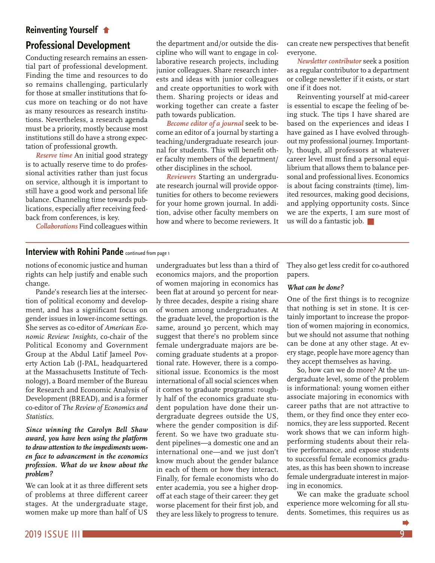#### <span id="page-8-0"></span>**Reinventing Yourself**

### **[Professional Development](#page-7-0)**

Conducting research remains an essential part of professional development. Finding the time and resources to do so remains challenging, particularly for those at smaller institutions that focus more on teaching or do not have as many resources as research institutions. Nevertheless, a research agenda must be a priority, mostly because most institutions still do have a strong expectation of professional growth.

*Reserve time* An initial good strategy is to actually reserve time to do professional activities rather than just focus on service, although it is important to still have a good work and personal life balance. Channeling time towards publications, especially after receiving feedback from conferences, is key.

*Collaborations* Find colleagues within

the department and/or outside the discipline who will want to engage in collaborative research projects, including junior colleagues. Share research interests and ideas with junior colleagues and create opportunities to work with them. Sharing projects or ideas and working together can create a faster path towards publication.

*Become editor of a journal* seek to become an editor of a journal by starting a teaching/undergraduate research journal for students. This will benefit other faculty members of the department/ other disciplines in the school.

*Reviewers* Starting an undergraduate research journal will provide opportunities for others to become reviewers for your home grown journal. In addition, advise other faculty members on how and where to become reviewers. It can create new perspectives that benefit everyone.

*Newsletter contributor* seek a position as a regular contributor to a department or college newsletter if it exists, or start one if it does not.

Reinventing yourself at mid-career is essential to escape the feeling of being stuck. The tips I have shared are based on the experiences and ideas I have gained as I have evolved throughout my professional journey. Importantly, though, all professors at whatever career level must find a personal equilibrium that allows them to balance personal and professional lives. Economics is about facing constraints (time), limited resources, making good decisions, and applying opportunity costs. Since we are the experts, I am sure most of us will do a fantastic job.  $\Box$ 

#### **[Interview with Rohini Pande](#page-0-0)** continued from page 1

notions of economic justice and human rights can help justify and enable such change.

Pande's research lies at the intersection of political economy and development, and has a significant focus on gender issues in lower-income settings. She serves as co-editor of *American Economic Review: Insights,* co-chair of the Political Economy and Government Group at the Abdul Latif Jameel Poverty Action Lab (J-PAL, headquartered at the Massachusetts Institute of Technology), a Board member of the Bureau for Research and Economic Analysis of Development (BREAD), and is a former co-editor of *The Review of Economics and Statistics.*

*Since winning the Carolyn Bell Shaw award, you have been using the platform to draw attention to the impediments women face to advancement in the economics profession. What do we know about the problem?*

We can look at it as three different sets of problems at three different career stages. At the undergraduate stage, women make up more than half of US

undergraduates but less than a third of economics majors, and the proportion of women majoring in economics has been flat at around 30 percent for nearly three decades, despite a rising share of women among undergraduates. At the graduate level, the proportion is the same, around 30 percent, which may suggest that there's no problem since female undergraduate majors are becoming graduate students at a proportional rate. However, there is a compositional issue. Economics is the most international of all social sciences when it comes to graduate programs: roughly half of the economics graduate student population have done their undergraduate degrees outside the US, where the gender composition is different. So we have two graduate student pipelines—a domestic one and an international one—and we just don't know much about the gender balance in each of them or how they interact. Finally, for female economists who do enter academia, you see a higher dropoff at each stage of their career: they get worse placement for their first job, and they are less likely to progress to tenure. They also get less credit for co-authored papers.

#### *What can be done?*

One of the first things is to recognize that nothing is set in stone. It is certainly important to increase the proportion of women majoring in economics, but we should not assume that nothing can be done at any other stage. At every stage, people have more agency than they accept themselves as having.

So, how can we do more? At the undergraduate level, some of the problem is informational: young women either associate majoring in economics with career paths that are not attractive to them, or they find once they enter economics, they are less supported. Recent work shows that we can inform highperforming students about their relative performance, and expose students to successful female economics graduates, as this has been shown to increase female undergraduate interest in majoring in economics.

We can make the graduate school experience more welcoming for all students. Sometimes, this requires us as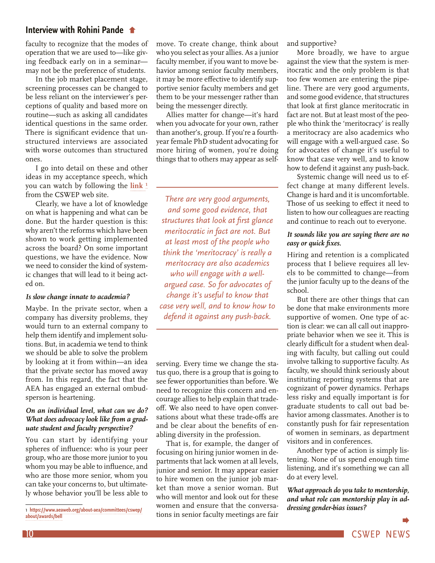#### <span id="page-9-0"></span>**[Interview with Rohini Pande](#page-8-0)**

faculty to recognize that the modes of operation that we are used to—like giving feedback early on in a seminar may not be the preference of students.

In the job market placement stage, screening processes can be changed to be less reliant on the interviewer's perceptions of quality and based more on routine—such as asking all candidates identical questions in the same order. There is significant evidence that unstructured interviews are associated with worse outcomes than structured ones.

I go into detail on these and other ideas in my acceptance speech, which you can watch by following the **[link](https://www.aeaweb.org/about-aea/committees/cswep/about/awards/bell) 1** from the CSWEP web site.

Clearly, we have a lot of knowledge on what is happening and what can be done. But the harder question is this: why aren't the reforms which have been shown to work getting implemented across the board? On some important questions, we have the evidence. Now we need to consider the kind of systemic changes that will lead to it being acted on.

#### *Is slow change innate to academia?*

Maybe. In the private sector, when a company has diversity problems, they would turn to an external company to help them identify and implement solutions. But, in academia we tend to think we should be able to solve the problem by looking at it from within—an idea that the private sector has moved away from. In this regard, the fact that the AEA has engaged an external ombudsperson is heartening.

#### *On an individual level, what can we do? What does advocacy look like from a graduate student and faculty perspective?*

You can start by identifying your spheres of influence: who is your peer group, who are those more junior to you whom you may be able to influence, and who are those more senior, whom you can take your concerns to, but ultimately whose behavior you'll be less able to

move. To create change, think about who you select as your allies. As a junior faculty member, if you want to move behavior among senior faculty members, it may be more effective to identify supportive senior faculty members and get them to be your messenger rather than being the messenger directly.

Allies matter for change—it's hard when you advocate for your own, rather than another's, group. If you're a fourthyear female PhD student advocating for more hiring of women, you're doing things that to others may appear as self-

*There are very good arguments, and some good evidence, that structures that look at first glance meritocratic in fact are not. But at least most of the people who think the 'meritocracy' is really a meritocracy are also academics who will engage with a wellargued case. So for advocates of change it's useful to know that case very well, and to know how to defend it against any push-back.*

serving. Every time we change the status quo, there is a group that is going to see fewer opportunities than before. We need to recognize this concern and encourage allies to help explain that tradeoff. We also need to have open conversations about what these trade-offs are and be clear about the benefits of enabling diversity in the profession.

That is, for example, the danger of focusing on hiring junior women in departments that lack women at all levels, junior and senior. It may appear easier to hire women on the junior job market than move a senior woman. But who will mentor and look out for these women and ensure that the conversations in senior faculty meetings are fair and supportive?

More broadly, we have to argue against the view that the system is meritocratic and the only problem is that too few women are entering the pipeline. There are very good arguments, and some good evidence, that structures that look at first glance meritocratic in fact are not. But at least most of the people who think the 'meritocracy' is really a meritocracy are also academics who will engage with a well-argued case. So for advocates of change it's useful to know that case very well, and to know how to defend it against any push-back.

Systemic change will need us to effect change at many different levels. Change is hard and it is uncomfortable. Those of us seeking to effect it need to listen to how our colleagues are reacting and continue to reach out to everyone.

#### *It sounds like you are saying there are no easy or quick fixes.*

Hiring and retention is a complicated process that I believe requires all levels to be committed to change—from the junior faculty up to the deans of the school.

But there are other things that can be done that make environments more supportive of women. One type of action is clear: we can all call out inappropriate behavior when we see it. This is clearly difficult for a student when dealing with faculty, but calling out could involve talking to supportive faculty. As faculty, we should think seriously about instituting reporting systems that are cognizant of power dynamics. Perhaps less risky and equally important is for graduate students to call out bad behavior among classmates. Another is to constantly push for fair representation of women in seminars, as department visitors and in conferences.

Another type of action is simply listening. None of us spend enough time listening, and it's something we can all do at every level.

*What approach do you take to mentorship, and what role can mentorship play in addressing gender-bias issues?*

<sup>1</sup> **[https://www.aeaweb.org/about-aea/committees/cswep/](https://www.aeaweb.org/about-aea/committees/cswep/about/awards/bell) [about/awards/bell](https://www.aeaweb.org/about-aea/committees/cswep/about/awards/bell)**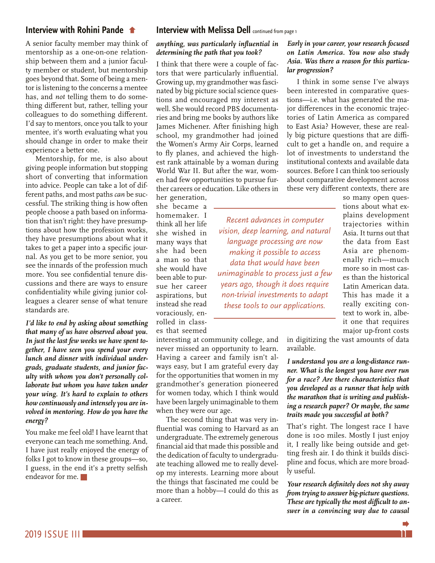#### <span id="page-10-0"></span>**[Interview with Rohini Pande](#page-9-0)**

A senior faculty member may think of mentorship as a one-on-one relationship between them and a junior faculty member or student, but mentorship goes beyond that. Some of being a mentor is listening to the concerns a mentee has, and *not* telling them to do something different but, rather, telling your colleagues to do something different. I'd say to mentors, once you talk to your mentee, it's worth evaluating what you should change in order to make their experience a better one.

Mentorship, for me, is also about giving people information but stopping short of converting that information into advice. People can take a lot of different paths, and most paths *can* be successful. The striking thing is how often people choose a path based on information that isn't right: they have presumptions about how the profession works, they have presumptions about what it takes to get a paper into a specific journal. As you get to be more senior, you see the innards of the profession much more. You see confidential tenure discussions and there are ways to ensure confidentiality while giving junior colleagues a clearer sense of what tenure standards are.

*I'd like to end by asking about something that many of us have observed about you. In just the last few weeks we have spent together, I have seen you spend your every lunch and dinner with individual undergrads, graduate students, and junior faculty with whom you don't personally collaborate but whom you have taken under your wing. It's hard to explain to others how continuously and intensely you are involved in mentoring. How do you have the energy?*

You make me feel old! I have learnt that everyone can teach me something. And, I have just really enjoyed the energy of folks I got to know in these groups—so, I guess, in the end it's a pretty selfish endeavor for me.

#### **[Interview with Melissa Dell](#page-0-0)** continued from page 1

#### *anything, was particularly influential in determining the path that you took?*

I think that there were a couple of factors that were particularly influential. Growing up, my grandmother was fascinated by big picture social science questions and encouraged my interest as well. She would record PBS documentaries and bring me books by authors like James Michener. After finishing high school, my grandmother had joined the Women's Army Air Corps, learned to fly planes, and achieved the highest rank attainable by a woman during World War II. But after the war, women had few opportunities to pursue further careers or education. Like others in

her generation, she became a homemaker. I think all her life she wished in many ways that she had been a man so that she would have been able to pursue her career aspirations, but instead she read voraciously, enrolled in classes that seemed

interesting at community college, and never missed an opportunity to learn. Having a career and family isn't always easy, but I am grateful every day for the opportunities that women in my grandmother's generation pioneered for women today, which I think would have been largely unimaginable to them when they were our age.

The second thing that was very influential was coming to Harvard as an undergraduate. The extremely generous financial aid that made this possible and the dedication of faculty to undergraduate teaching allowed me to really develop my interests. Learning more about the things that fascinated me could be more than a hobby—I could do this as a career.

#### *Early in your career, your research focused on Latin America. You now also study Asia. Was there a reason for this particular progression?*

I think in some sense I've always been interested in comparative questions—i.e. what has generated the major differences in the economic trajectories of Latin America as compared to East Asia? However, these are really big picture questions that are difficult to get a handle on, and require a lot of investments to understand the institutional contexts and available data sources. Before I can think too seriously about comparative development across these very different contexts, there are

tions about what explains development trajectories within Asia. It turns out that the data from East Asia are phenomenally rich—much more so in most cases than the historical Latin American data. This has made it a really exciting context to work in, albeit one that requires major up-front costs *Recent advances in computer vision, deep learning, and natural language processing are now making it possible to access data that would have been unimaginable to process just a few years ago, though it does require non-trivial investments to adapt these tools to our applications.* 

so many open ques-

in digitizing the vast amounts of data available.

*I understand you are a long-distance runner. What is the longest you have ever run for a race? Are there characteristics that you developed as a runner that help with the marathon that is writing and publishing a research paper? Or maybe, the same traits made you successful at both?*

That's right. The longest race I have done is 100 miles. Mostly I just enjoy it, I really like being outside and getting fresh air. I do think it builds discipline and focus, which are more broadly useful.

*Your research definitely does not shy away from trying to answer big-picture questions. These are typically the most difficult to answer in a convincing way due to causal*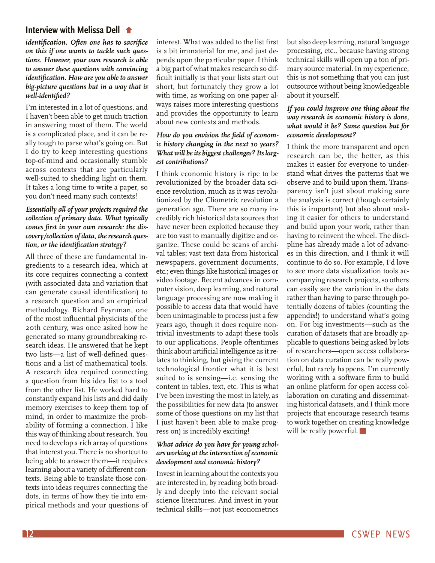#### **[Interview with Melissa Dell](#page-10-0)**

*identification. Often one has to sacrifice on this if one wants to tackle such questions. However, your own research is able to answer these questions with convincing identification. How are you able to answer big-picture questions but in a way that is well-identified?*

I'm interested in a lot of questions, and I haven't been able to get much traction in answering most of them. The world is a complicated place, and it can be really tough to parse what's going on. But I do try to keep interesting questions top-of-mind and occasionally stumble across contexts that are particularly well-suited to shedding light on them. It takes a long time to write a paper, so you don't need many such contexts!

#### *Essentially all of your projects required the collection of primary data. What typically comes first in your own research: the discovery/collection of data, the research question, or the identification strategy?*

All three of these are fundamental ingredients to a research idea, which at its core requires connecting a context (with associated data and variation that can generate causal identification) to a research question and an empirical methodology. Richard Feynman, one of the most influential physicists of the 20th century, was once asked how he generated so many groundbreaking research ideas. He answered that he kept two lists—a list of well-defined questions and a list of mathematical tools. A research idea required connecting a question from his idea list to a tool from the other list. He worked hard to constantly expand his lists and did daily memory exercises to keep them top of mind, in order to maximize the probability of forming a connection. I like this way of thinking about research. You need to develop a rich array of questions that interest you. There is no shortcut to being able to answer them—it requires learning about a variety of different contexts. Being able to translate those contexts into ideas requires connecting the dots, in terms of how they tie into empirical methods and your questions of interest. What was added to the list first is a bit immaterial for me, and just depends upon the particular paper. I think a big part of what makes research so difficult initially is that your lists start out short, but fortunately they grow a lot with time, as working on one paper always raises more interesting questions and provides the opportunity to learn about new contexts and methods.

#### *How do you envision the field of economic history changing in the next 10 years? What will be its biggest challenges? Its largest contributions?*

I think economic history is ripe to be revolutionized by the broader data science revolution, much as it was revolutionized by the Cliometric revolution a generation ago. There are so many incredibly rich historical data sources that have never been exploited because they are too vast to manually digitize and organize. These could be scans of archival tables; vast text data from historical newspapers, government documents, etc.; even things like historical images or video footage. Recent advances in computer vision, deep learning, and natural language processing are now making it possible to access data that would have been unimaginable to process just a few years ago, though it does require nontrivial investments to adapt these tools to our applications. People oftentimes think about artificial intelligence as it relates to thinking, but giving the current technological frontier what it is best suited to is sensing—i.e. sensing the content in tables, text, etc. This is what I've been investing the most in lately, as the possibilities for new data (to answer some of those questions on my list that I just haven't been able to make progress on) is incredibly exciting!

#### *What advice do you have for young scholars working at the intersection of economic development and economic history?*

Invest in learning about the contexts you are interested in, by reading both broadly and deeply into the relevant social science literatures. And invest in your technical skills—not just econometrics but also deep learning, natural language processing, etc., because having strong technical skills will open up a ton of primary source material. In my experience, this is not something that you can just outsource without being knowledgeable about it yourself.

#### *If you could improve one thing about the way research in economic history is done, what would it be? Same question but for economic development?*

I think the more transparent and open research can be, the better, as this makes it easier for everyone to understand what drives the patterns that we observe and to build upon them. Transparency isn't just about making sure the analysis is correct (though certainly this is important) but also about making it easier for others to understand and build upon your work, rather than having to reinvent the wheel. The discipline has already made a lot of advances in this direction, and I think it will continue to do so. For example, I'd love to see more data visualization tools accompanying research projects, so others can easily see the variation in the data rather than having to parse through potentially dozens of tables (counting the appendix!) to understand what's going on. For big investments—such as the curation of datasets that are broadly applicable to questions being asked by lots of researchers—open access collaboration on data curation can be really powerful, but rarely happens. I'm currently working with a software firm to build an online platform for open access collaboration on curating and disseminating historical datasets, and I think more projects that encourage research teams to work together on creating knowledge will be really powerful.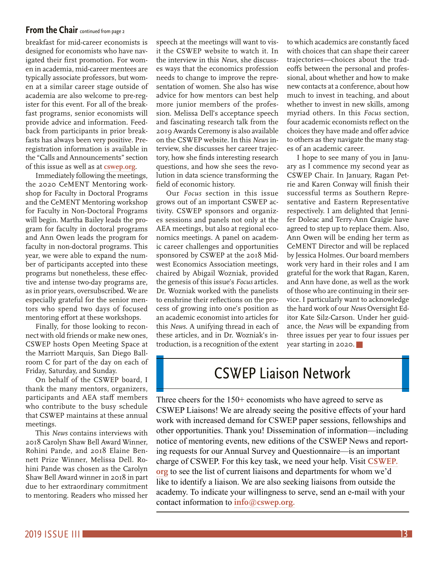#### <span id="page-12-0"></span>**From the Chair** continued from page 2

breakfast for mid-career economists is designed for economists who have navigated their first promotion. For women in academia, mid-career mentees are typically associate professors, but women at a similar career stage outside of academia are also welcome to pre-register for this event. For all of the breakfast programs, senior economists will provide advice and information. Feedback from participants in prior breakfasts has always been very positive. Preregistration information is available in the "Calls and Announcements" section of this issue as well as at **[cswep.org](http://cswep.org)**.

Immediately following the meetings, the 2020 CeMENT Mentoring workshop for Faculty in Doctoral Programs and the CeMENT Mentoring workshop for Faculty in Non-Doctoral Programs will begin. Martha Bailey leads the program for faculty in doctoral programs and Ann Owen leads the program for faculty in non-doctoral programs. This year, we were able to expand the number of participants accepted into these programs but nonetheless, these effective and intense two-day programs are, as in prior years, oversubscribed. We are especially grateful for the senior mentors who spend two days of focused mentoring effort at these workshops.

Finally, for those looking to reconnect with old friends or make new ones, CSWEP hosts Open Meeting Space at the Marriott Marquis, San Diego Ballroom C for part of the day on each of Friday, Saturday, and Sunday.

On behalf of the CSWEP board, I thank the many mentors, organizers, participants and AEA staff members who contribute to the busy schedule that CSWEP maintains at these annual meetings.

This *News* contains interviews with 2018 Carolyn Shaw Bell Award Winner, Rohini Pande, and 2018 Elaine Bennett Prize Winner, Melissa Dell. Rohini Pande was chosen as the Carolyn Shaw Bell Award winner in 2018 in part due to her extraordinary commitment to mentoring. Readers who missed her

speech at the meetings will want to visit the CSWEP website to watch it. In the interview in this *News*, she discusses ways that the economics profession needs to change to improve the representation of women. She also has wise advice for how mentors can best help more junior members of the profession. Melissa Dell's acceptance speech and fascinating research talk from the 2019 Awards Ceremony is also available on the CSWEP website. In this *News* interview, she discusses her career trajectory, how she finds interesting research questions, and how she sees the revolution in data science transforming the field of economic history.

Our *Focus* section in this issue grows out of an important CSWEP activity. CSWEP sponsors and organizes sessions and panels not only at the AEA meetings, but also at regional economics meetings. A panel on academic career challenges and opportunities sponsored by CSWEP at the 2018 Midwest Economics Association meetings, chaired by Abigail Wozniak, provided the genesis of this issue's *Focus* articles. Dr. Wozniak worked with the panelists to enshrine their reflections on the process of growing into one's position as an academic economist into articles for this *News*. A unifying thread in each of these articles, and in Dr. Wozniak's introduction, is a recognition of the extent to which academics are constantly faced with choices that can shape their career trajectories—choices about the tradeoffs between the personal and professional, about whether and how to make new contacts at a conference, about how much to invest in teaching, and about whether to invest in new skills, among myriad others. In this *Focus* section, four academic economists reflect on the choices they have made and offer advice to others as they navigate the many stages of an academic career.

I hope to see many of you in January as I commence my second year as CSWEP Chair. In January, Ragan Petrie and Karen Conway will finish their successful terms as Southern Representative and Eastern Representative respectively. I am delighted that Jennifer Doleac and Terry-Ann Craigie have agreed to step up to replace them. Also, Ann Owen will be ending her term as CeMENT Director and will be replaced by Jessica Holmes. Our board members work very hard in their roles and I am grateful for the work that Ragan, Karen, and Ann have done, as well as the work of those who are continuing in their service. I particularly want to acknowledge the hard work of our *News* Oversight Editor Kate Silz-Carson. Under her guidance, the *News* will be expanding from three issues per year to four issues per year starting in 2020.

### CSWEP Liaison Network

Three cheers for the 150+ economists who have agreed to serve as CSWEP Liaisons! We are already seeing the positive effects of your hard work with increased demand for CSWEP paper sessions, fellowships and other opportunities. Thank you! Dissemination of information—including notice of mentoring events, new editions of the CSWEP News and reporting requests for our Annual Survey and Questionnaire—is an important charge of CSWEP. For this key task, we need your help. Visit **[CSWEP.](http://cswep.org/) [org](http://cswep.org/)** to see the list of current liaisons and departments for whom we'd like to identify a liaison. We are also seeking liaisons from outside the academy. To indicate your willingness to serve, send an e-mail with your contact information to **[info@cswep.org.](mailto:info%40cswep.org.?subject=)**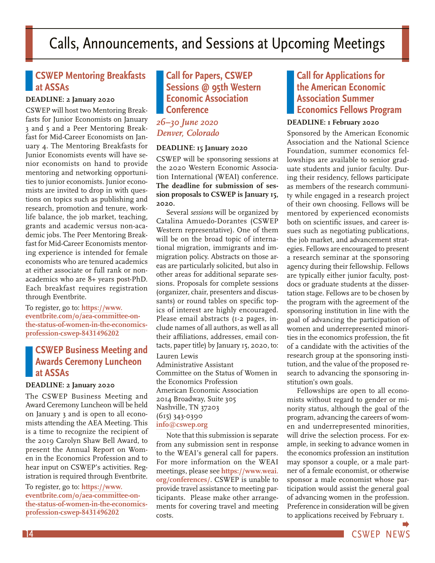## <span id="page-13-0"></span>Calls, Announcements, and Sessions at Upcoming Meetings

### **CSWEP Mentoring Breakfasts at ASSAs**

#### **DEADLINE: 2 January 2020**

CSWEP will host two Mentoring Breakfasts for Junior Economists on January 3 and 5 and a Peer Mentoring Breakfast for Mid-Career Economists on January 4. The Mentoring Breakfasts for Junior Economists events will have senior economists on hand to provide mentoring and networking opportunities to junior economists. Junior economists are invited to drop in with questions on topics such as publishing and research, promotion and tenure, worklife balance, the job market, teaching, grants and academic versus non-academic jobs. The Peer Mentoring Breakfast for Mid-Career Economists mentoring experience is intended for female economists who are tenured academics at either associate or full rank or nonacademics who are 8+ years post-PhD. Each breakfast requires registration through Eventbrite.

To register, go to: **[https://www.](https://www.eventbrite.com/o/aea-committee-on-the-status-of-women-in-the-economics-profession-cswep-8431496202) [eventbrite.com/o/aea-committee-on](https://www.eventbrite.com/o/aea-committee-on-the-status-of-women-in-the-economics-profession-cswep-8431496202)[the-status-of-women-in-the-economics](https://www.eventbrite.com/o/aea-committee-on-the-status-of-women-in-the-economics-profession-cswep-8431496202)[profession-cswep-8431496202](https://www.eventbrite.com/o/aea-committee-on-the-status-of-women-in-the-economics-profession-cswep-8431496202)**

#### **CSWEP Business Meeting and Awards Ceremony Luncheon at ASSAs**

#### **DEADLINE: 2 January 2020**

The CSWEP Business Meeting and Award Ceremony Luncheon will be held on January 3 and is open to all economists attending the AEA Meeting. This is a time to recognize the recipient of the 2019 Carolyn Shaw Bell Award, to present the Annual Report on Women in the Economics Profession and to hear input on CSWEP's activities. Registration is required through Eventbrite.

To register, go to: **[https://www.](https://www.eventbrite.com/o/aea-committee-on-the-status-of-women-in-the-economics-profession-cswep-8431496202) [eventbrite.com/o/aea-committee-on](https://www.eventbrite.com/o/aea-committee-on-the-status-of-women-in-the-economics-profession-cswep-8431496202)[the-status-of-women-in-the-economics](https://www.eventbrite.com/o/aea-committee-on-the-status-of-women-in-the-economics-profession-cswep-8431496202)[profession-cswep-8431496202](https://www.eventbrite.com/o/aea-committee-on-the-status-of-women-in-the-economics-profession-cswep-8431496202)**

#### **Call for Papers, CSWEP Sessions @ 95th Western Economic Association Conference**

*26–30 June 2020 Denver, Colorado*

#### **DEADLINE: 15 January 2020**

CSWEP will be sponsoring sessions at the 2020 Western Economic Association International (WEAI) conference. **The deadline for submission of session proposals to CSWEP is January 15, 2020.**

Several *sessions* will be organized by Catalina Amuedo-Dorantes (CSWEP Western representative). One of them will be on the broad topic of international migration, immigrants and immigration policy. Abstracts on those areas are particularly solicited, but also in other areas for additional separate sessions. Proposals for complete sessions (organizer, chair, presenters and discussants) or round tables on specific topics of interest are highly encouraged. Please email abstracts (1-2 pages, include names of all authors, as well as all their affiliations, addresses, email contacts, paper title) by January 15, 2020, to:

Lauren Lewis Administrative Assistant Committee on the Status of Women in the Economics Profession American Economic Association 2014 Broadway, Suite 305 Nashville, TN 37203 (615) 343-0390 **[info@cswep.org](mailto:info%40cswep.org?subject=)**

Note that this submission is separate from any submission sent in response to the WEAI's general call for papers. For more information on the WEAI meetings, please see **[https://www.weai.](https://www.weai.org/conferences/) [org/conferences/](https://www.weai.org/conferences/)**. CSWEP is unable to provide travel assistance to meeting participants. Please make other arrangements for covering travel and meeting costs.

### **Call for Applications for the American Economic Association Summer Economics Fellows Program**

#### **DEADLINE: 1 February 2020**

Sponsored by the American Economic Association and the National Science Foundation, summer economics fellowships are available to senior graduate students and junior faculty. During their residency, fellows participate as members of the research community while engaged in a research project of their own choosing. Fellows will be mentored by experienced economists both on scientific issues, and career issues such as negotiating publications, the job market, and advancement strategies. Fellows are encouraged to present a research seminar at the sponsoring agency during their fellowship. Fellows are typically either junior faculty, postdocs or graduate students at the dissertation stage. Fellows are to be chosen by the program with the agreement of the sponsoring institution in line with the goal of advancing the participation of women and underrepresented minorities in the economics profession, the fit of a candidate with the activities of the research group at the sponsoring institution, and the value of the proposed research to advancing the sponsoring institution's own goals.

Fellowships are open to all economists without regard to gender or minority status, although the goal of the program, advancing the careers of women and underrepresented minorities, will drive the selection process. For example, in seeking to advance women in the economics profession an institution may sponsor a couple, or a male partner of a female economist, or otherwise sponsor a male economist whose participation would assist the general goal of advancing women in the profession. Preference in consideration will be given to applications received by February 1.

14 CSWEP NEWS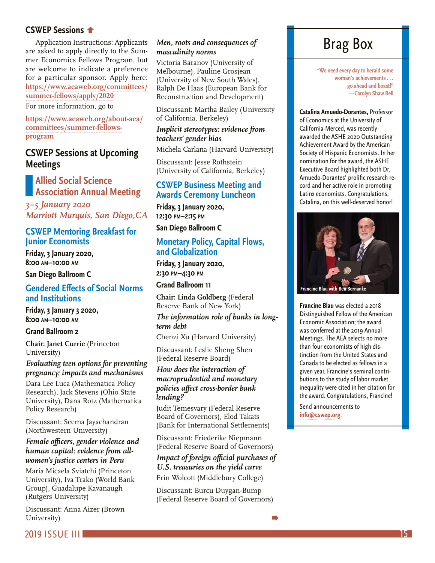#### <span id="page-14-0"></span>**CSWEP Sessions**

[Application Instructions: Applicants](#page-13-0)  are asked to apply directly to the Summer Economics Fellows Program, but are welcome to indicate a preference for a particular sponsor. Apply here: **[https://www.aeaweb.org/committees/](https://www.aeaweb.org/committees/summer-fellows/apply/2020) [summer-fellows/apply/2020](https://www.aeaweb.org/committees/summer-fellows/apply/2020)**

For more information, go to

**[https://www.aeaweb.org/about-aea/](https://www.aeaweb.org/about-aea/committees/summer-fellows-program) [committees/summer-fellows](https://www.aeaweb.org/about-aea/committees/summer-fellows-program)[program](https://www.aeaweb.org/about-aea/committees/summer-fellows-program)**

### **CSWEP Sessions at Upcoming Meetings**

#### **Allied Social Science Association Annual Meeting**

*3–5 January 2020 Marriott Marquis, San Diego,CA*

#### **CSWEP Mentoring Breakfast for Junior Economists**

**Friday, 3 January 2020, 8:00 am–10:00 am**

**San Diego Ballroom C**

#### **Gendered Effects of Social Norms and Institutions**

**Friday, 3 January 3 2020, 8:00 am–10:00 am**

#### **Grand Ballroom 2**

**Chair: Janet Currie** (Princeton University)

#### *Evaluating teen options for preventing pregnancy: impacts and mechanisms*

Dara Lee Luca (Mathematica Policy Research), Jack Stevens (Ohio State University), Dana Rotz (Mathematica Policy Research)

Discussant: Seema Jayachandran (Northwestern University)

#### *Female officers, gender violence and human capital: evidence from allwomen's justice centers in Peru*

Maria Micaela Sviatchi (Princeton University), Iva Trako (World Bank Group), Guadalupe Kavanaugh (Rutgers University)

Discussant: Anna Aizer (Brown University)

#### *Men, roots and consequences of masculinity norms*

Victoria Baranov (University of Melbourne), Pauline Grosjean (University of New South Wales), Ralph De Haas (European Bank for Reconstruction and Development)

Discussant: Martha Bailey (University of California, Berkeley)

#### *Implicit stereotypes: evidence from teachers' gender bias*

Michela Carlana (Harvard University)

Discussant: Jesse Rothstein (University of California, Berkeley)

#### **CSWEP Business Meeting and Awards Ceremony Luncheon**

**Friday, 3 January 2020, 12:30 pm–2:15 pm**

**San Diego Ballroom C**

#### **Monetary Policy, Capital Flows, and Globalization**

**Friday, 3 January 2020, 2:30 pm–4:30 pm**

**Grand Ballroom 11**

**Chair: Linda Goldberg** (Federal Reserve Bank of New York)

#### *The information role of banks in longterm debt*

Chenzi Xu (Harvard University)

Discussant: Leslie Sheng Shen (Federal Reserve Board)

#### *How does the interaction of macroprudential and monetary policies affect cross-border bank lending?*

Judit Temesvary (Federal Reserve Board of Governors), Elod Takats (Bank for International Settlements)

Discussant: Friederike Niepmann (Federal Reserve Board of Governors)

### *Impact of foreign official purchases of U.S. treasuries on the yield curve*

Erin Wolcott (Middlebury College)

Discussant: Burcu Duygan-Bump (Federal Reserve Board of Governors)

## Brag Box

**"We need every day to herald some woman's achievements . . . go ahead and boast!" —Carolyn Shaw Bell**

**Catalina Amuedo-Dorantes,** Professor of Economics at the University of California-Merced, was recently awarded the ASHE 2020 Outstanding Achievement Award by the American Society of Hispanic Economists. In her nomination for the award, the ASHE Executive Board highlighted both Dr. Amuedo-Dorantes' prolific research record and her active role in promoting Latinx economists. Congratulations, Catalina, on this well-deserved honor!



**Francine Blau** was elected a 2018 Distinguished Fellow of the American Economic Association; the award was conferred at the 2019 Annual Meetings. The AEA selects no more than four economists of high distinction from the United States and Canada to be elected as fellows in a given year. Francine's seminal contributions to the study of labor market inequality were cited in her citation for the award. Congratulations, Francine!

Send announcements to **[info@cswep.org](mailto:info%40cswep.org?subject=)**.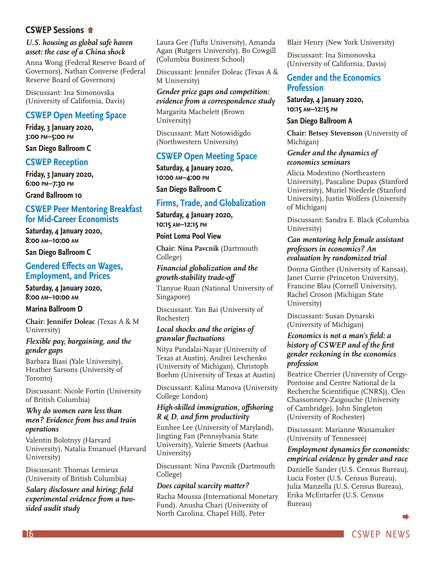#### <span id="page-15-0"></span>**CSWEP Sessions**

#### *[U.S. housing as global safe haven](#page-14-0)  asset: the case of a China shock*

Anna Wong (Federal Reserve Board of Governors), Nathan Converse (Federal Reserve Board of Governors)

Discussant: Ina Simonovska (University of California, Davis)

#### **CSWEP Open Meeting Space**

**Friday, 3 January 2020, 3:00 pm–5:00 pm**

**San Diego Ballroom C**

#### **CSWEP Reception**

**Friday, 3 January 2020, 6:00 pm–7:30 pm**

**Grand Ballroom 10**

#### **CSWEP Peer Mentoring Breakfast for Mid-Career Economists**

**Saturday, 4 January 2020, 8:00 am–10:00 am**

**San Diego Ballroom C**

#### **Gendered Effects on Wages, Employment, and Prices**

**Saturday, 4 January 2020, 8:00 am–10:00 am**

#### **Marina Ballroom D**

**Chair: Jennifer Doleac** (Texas A & M University)

#### *Flexible pay, bargaining, and the gender gaps*

Barbara Biasi (Yale University), Heather Sarsons (University of Toronto)

Discussant: Nicole Fortin (University of British Columbia)

#### *Why do women earn less than men? Evidence from bus and train operations*

Valentin Bolotnyy (Harvard University), Natalia Emanuel (Harvard University)

Discussant: Thomas Lemieux (University of British Columbia)

*Salary disclosure and hiring: field experimental evidence from a twosided audit study*

Laura Gee (Tufts University), Amanda Agan (Rutgers University), Bo Cowgill (Columbia Business School)

Discussant: Jennifer Doleac (Texas A & M University)

#### *Gender price gaps and competition: evidence from a correspondence study*

Margarita Machelett (Brown University)

Discussant: Matt Notowidigdo (Northwestern University)

#### **CSWEP Open Meeting Space**

**Saturday, 4 January 2020, 10:00 am–4:00 pm**

**San Diego Ballroom C**

#### **Firms, Trade, and Globalization**

**Saturday, 4 January 2020, 10:15 am–12:15 pm**

#### **Point Loma Pool View**

**Chair: Nina Pavcnik** (Dartmouth College)

*Financial globalization and the growth-stability trade-off*

Tianyue Ruan (National University of Singapore)

Discussant: Yan Bai (University of Rochester)

#### *Local shocks and the origins of granular fluctuations*

Nitya Pandalai-Nayar (University of Texas at Austin), Andrei Levchenko (University of Michigan), Christoph Boehm (University of Texas at Austin)

Discussant: Kalina Manova (University College London)

#### *High-skilled immigration, offshoring R & D, and firm productivity*

Eunhee Lee (University of Maryland), Jingting Fan (Pennsylvania State University), Valerie Smeets (Aarhus University)

Discussant: Nina Pavcnik (Dartmouth College)

#### *Does capital scarcity matter?*

Racha Moussa (International Monetary Fund), Anusha Chari (University of North Carolina, Chapel Hill), Peter

Blair Henry (New York University)

Discussant: Ina Simonovska (University of California, Davis)

#### **Gender and the Economics Profession**

**Saturday, 4 January 2020, 10:15 am–12:15 pm**

#### **San Diego Ballroom A**

**Chair: Betsey Stevenson** (University of Michigan)

#### *Gender and the dynamics of economics seminars*

Alicia Modestino (Northeastern University), Pascaline Dupas (Stanford University), Muriel Niederle (Stanford University), Justin Wolfers (University of Michigan)

Discussant: Sandra E. Black (Columbia University)

#### *Can mentoring help female assistant professors in economics? An evaluation by randomized trial*

Donna Ginther (University of Kansas), Janet Currie (Princeton University), Francine Blau (Cornell University), Rachel Croson (Michigan State University)

Discussant: Susan Dynarski (University of Michigan)

#### *Economics is not a man's field: a history of CSWEP and of the first gender reckoning in the economics profession*

Beatrice Cherrier (University of Cergy-Pontoise and Centre National de la Recherche Scientifique (CNRS)), Cleo Chassonnery-Zaigouche (University of Cambridge), John Singleton (University of Rochester)

Discussant: Marianne Wanamaker (University of Tennessee)

#### *Employment dynamics for economists: empirical evidence by gender and race*

Danielle Sander (U.S. Census Bureau), Lucia Foster (U.S. Census Bureau), Julia Manzella (U.S. Census Bureau), Erika McEntarfer (U.S. Census Bureau)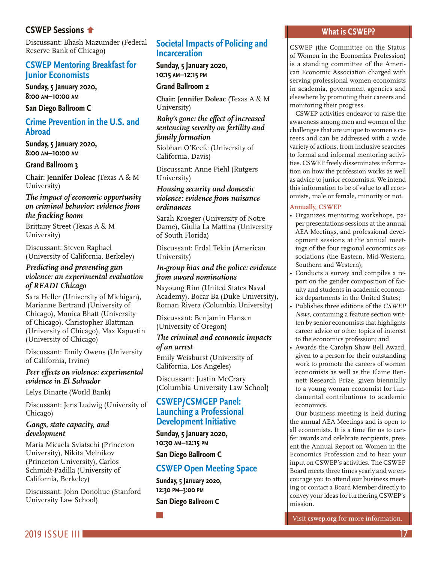#### **CSWEP Sessions**

[Discussant: Bhash Mazumder](#page-15-0) (Federal Reserve Bank of Chicago)

#### **CSWEP Mentoring Breakfast for Junior Economists**

**Sunday, 5 January 2020, 8:00 am–10:00 am**

**San Diego Ballroom C**

#### **Crime Prevention in the U.S. and Abroad**

**Sunday, 5 January 2020, 8:00 am–10:00 am**

#### **Grand Ballroom 3**

**Chair: Jennifer Doleac** (Texas A & M University)

#### *The impact of economic opportunity on criminal behavior: evidence from the fracking boom*

Brittany Street (Texas A & M University)

Discussant: Steven Raphael (University of California, Berkeley)

#### *Predicting and preventing gun violence: an experimental evaluation of READI Chicago*

Sara Heller (University of Michigan), Marianne Bertrand (University of Chicago), Monica Bhatt (University of Chicago), Christopher Blattman (University of Chicago), Max Kapustin (University of Chicago)

Discussant: Emily Owens (University of California, Irvine)

#### *Peer effects on violence: experimental evidence in El Salvador*

Lelys Dinarte (World Bank)

Discussant: Jens Ludwig (University of Chicago)

#### *Gangs, state capacity, and development*

Maria Micaela Sviatschi (Princeton University), Nikita Melnikov (Princeton University), Carlos Schmidt-Padilla (University of California, Berkeley)

Discussant: John Donohue (Stanford University Law School)

#### **Societal Impacts of Policing and Incarceration**

**Sunday, 5 January 2020, 10:15 am–12:15 pm**

**Grand Ballroom 2**

**Chair: Jennifer Doleac** (Texas A & M University)

#### *Baby's gone: the effect of increased sentencing severity on fertility and family formation*

Siobhan O'Keefe (University of California, Davis)

Discussant: Anne Piehl (Rutgers University)

#### *Housing security and domestic violence: evidence from nuisance ordinances*

Sarah Kroeger (University of Notre Dame), Giulia La Mattina (University of South Florida)

Discussant: Erdal Tekin (American University)

#### *In-group bias and the police: evidence from award nominations*

Nayoung Rim (United States Naval Academy), Bocar Ba (Duke University), Roman Rivera (Columbia University)

Discussant: Benjamin Hansen (University of Oregon)

#### *The criminal and economic impacts of an arrest*

Emily Weisburst (University of California, Los Angeles)

Discussant: Justin McCrary (Columbia University Law School)

#### **CSWEP/CSMGEP Panel: Launching a Professional Development Initiative**

**Sunday, 5 January 2020, 10:30 am–12:15 pm**

**San Diego Ballroom C**

### **CSWEP Open Meeting Space**

**Sunday, 5 January 2020, 12:30 pm–3:00 pm San Diego Ballroom C**

#### **What is CSWEP?**

CSWEP (the Committee on the Status of Women in the Economics Profession) is a standing committee of the American Economic Association charged with serving professional women economists in academia, government agencies and elsewhere by promoting their careers and monitoring their progress.

CSWEP activities endeavor to raise the awareness among men and women of the challenges that are unique to women's careers and can be addressed with a wide variety of actions, from inclusive searches to formal and informal mentoring activities. CSWEP freely disseminates information on how the profession works as well as advice to junior economists. We intend this information to be of value to all economists, male or female, minority or not.

#### **Annually, CSWEP**

- Organizes mentoring workshops, paper presentations sessions at the annual AEA Meetings, and professional development sessions at the annual meetings of the four regional economics associations (the Eastern, Mid-Western, Southern and Western);
- Conducts a survey and compiles a report on the gender composition of faculty and students in academic economics departments in the United States;
- Publishes three editions of the *CSWEP News,* containing a feature section written by senior economists that highlights career advice or other topics of interest to the economics profession; and
- Awards the Carolyn Shaw Bell Award, given to a person for their outstanding work to promote the careers of women economists as well as the Elaine Bennett Research Prize, given biennially to a young woman economist for fundamental contributions to academic economics.

Our business meeting is held during the annual AEA Meetings and is open to all economists. It is a time for us to confer awards and celebrate recipients, present the Annual Report on Women in the Economics Profession and to hear your input on CSWEP's activities. The CSWEP Board meets three times yearly and we encourage you to attend our business meeting or contact a Board Member directly to convey your ideas for furthering CSWEP's mission.

Visit **[cswep.org](http://cswep.org)** for more information.